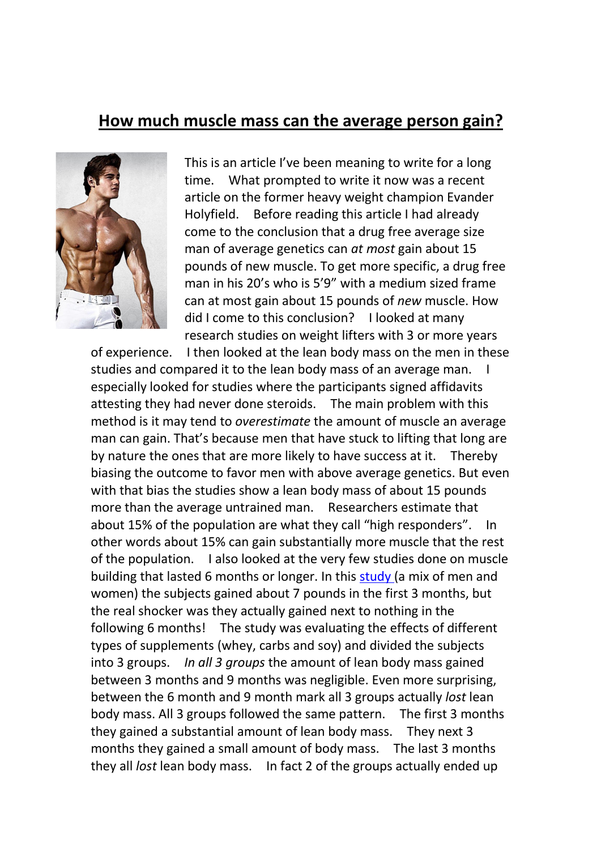## **How much muscle mass can the average person gain?**



This is an article I've been meaning to write for a long time. What prompted to write it now was a recent article on the former heavy weight champion Evander Holyfield. Before reading this article I had already come to the conclusion that a drug free average size man of average genetics can *at most* gain about 15 pounds of new muscle. To get more specific, a drug free man in his 20's who is 5'9" with a medium sized frame can at most gain about 15 pounds of *new* muscle. How did I come to this conclusion? I looked at many research studies on weight lifters with 3 or more years

of experience. I then looked at the lean body mass on the men in these studies and compared it to the lean body mass of an average man. I especially looked for studies where the participants signed affidavits attesting they had never done steroids. The main problem with this method is it may tend to *overestimate* the amount of muscle an average man can gain. That's because men that have stuck to lifting that long are by nature the ones that are more likely to have success at it. Thereby biasing the outcome to favor men with above average genetics. But even with that bias the studies show a lean body mass of about 15 pounds more than the average untrained man. Researchers estimate that about 15% of the population are what they call "high responders". In other words about 15% can gainsubstantially more muscle that the rest of the population. I also looked at the very few studies done on muscle building that lasted 6 months or longer. In this [study](https://www.academia.edu/14771763/Whey_Protein_Supplementation_During_Resistance_Training_Augments_Lean_Body_Mass) (a mix of men and women) the subjects gained about 7 pounds in the first 3 months, but the real shocker was they actually gained next to nothing in the following 6 months! The study was evaluating the effects of different types of supplements (whey, carbs and soy) and divided the subjects into 3 groups. *In all 3 groups* the amount of lean body mass gained between 3 months and 9 months was negligible. Even more surprising, between the 6 month and 9 month mark all 3 groups actually *lost* lean body mass. All 3 groups followed the same pattern. The first 3 months they gained a substantial amount of lean body mass. They next 3 months they gained a small amount of body mass. The last 3 months they all *lost* lean body mass. In fact 2 of the groups actually ended up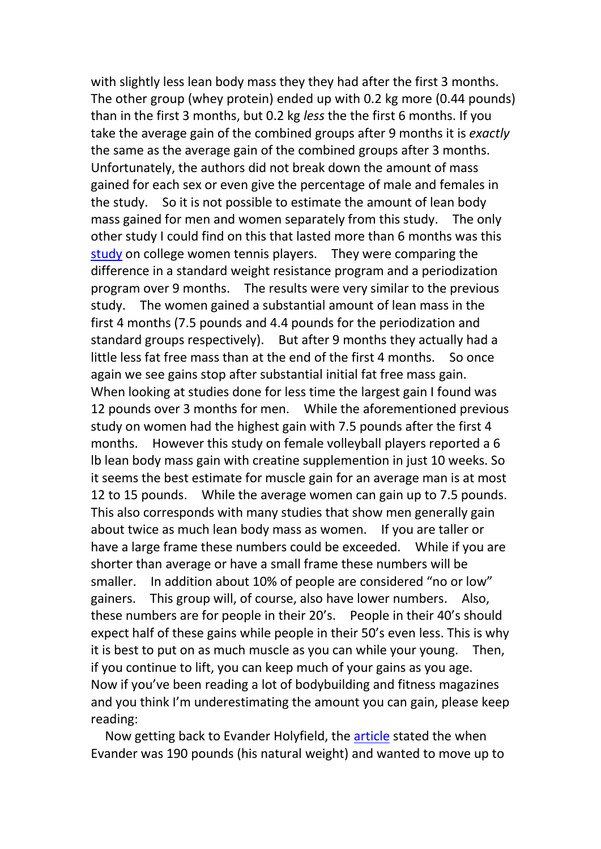with slightly less lean body mass they they had after the first 3 months. The other group (whey protein) ended up with 0.2 kg more (0.44 pounds) than in the first 3 months, but 0.2 kg *less* the the first 6 months. If you take the average gain of the combined groups after 9 months it is *exactly* the same as the average gain of the combined groups after 3 months. Unfortunately, the authors did not break down the amount of mass gained for each sex or even give the percentage of male and females in the study. So it is not possible to estimate the amount of lean body mass gained for men and women separately from this study. The only other study I could find on this that lasted more than 6 months was this [study](https://www.researchgate.net/publication/311569478_Physiological_Changes_with_Periodized_Resistance_Training_in_Women_Tennis_Players) on college women tennis players. They were comparing the difference in a standard weight resistance program and a periodization program over 9 months. The results were very similar to the previous study. The women gained a substantial amount of lean mass in the first 4 months (7.5 pounds and 4.4 pounds for the periodization and standard groups respectively). But after 9 months they actually had a little less fat free mass than at the end of the first 4 months. So once again we see gains stop after substantial initial fat free mass gain. When looking at studies done for less time the largest gain I found was 12 pounds over 3 months for men. While the aforementioned previous study on women had the highest gain with 7.5 pounds after the first 4 months. However this study on female volleyball players reported a 6 lb lean body mass gain with creatine supplemention in just 10 weeks. So it seems the best estimate for muscle gain for an average man is at most 12 to 15 pounds. While the average women can gain up to 7.5 pounds. This also corresponds with many studies that show men generally gain about twice as much lean body mass as women. If you are taller or have a large frame these numbers could be exceeded. While if you are shorter than average or have a small frame these numbers will be smaller. In addition about 10% of people are considered "no or low" gainers. This group will, of course, also have lower numbers. Also, these numbers are for people in their 20's. People in their 40's should expect half of these gains while people in their 50's even less. This is why it is best to put on as much muscle as you can while your young. Then, if you continue to lift, you can keep much of your gains as you age. Now if you've been reading a lot of bodybuilding and fitness magazines and you think I'm underestimating the amount you can gain, please keep reading:

Now getting back to Evander Holyfield, the [article](https://www.livestrong.com/article/369069-evander-holyfield-and-weight-training/) stated the when Evander was 190 pounds (his natural weight) and wanted to move up to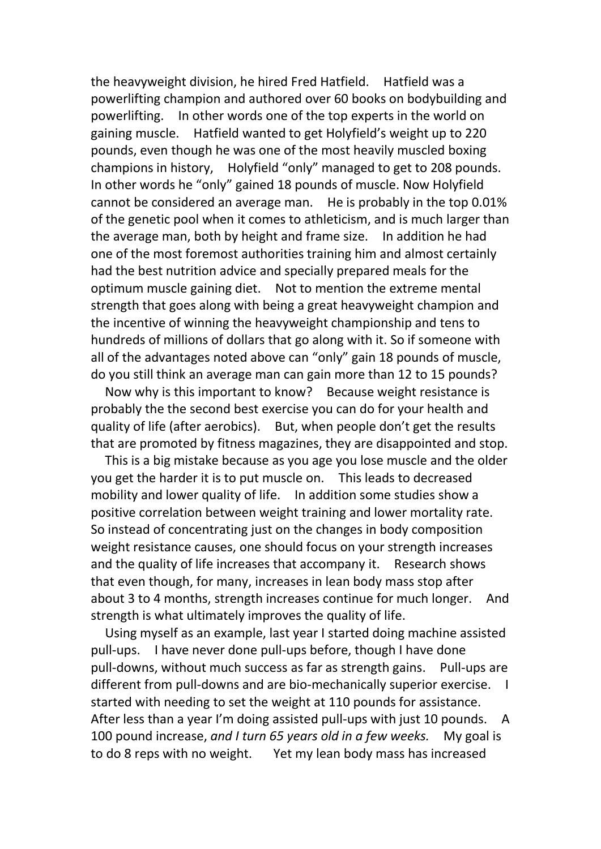the heavyweight division, he hired Fred Hatfield. Hatfield was a powerlifting champion and authored over 60 books on bodybuilding and powerlifting. In other words one of the top experts in the world on gaining muscle. Hatfield wanted to get Holyfield's weight up to 220 pounds, even though he was one of the most heavily muscled boxing champions in history, Holyfield "only" managed to get to 208 pounds. In other words he "only" gained 18 pounds of muscle. Now Holyfield cannot be considered an average man. He is probably in the top 0.01% of the genetic pool when it comes to athleticism, and is much larger than the average man, both by height and frame size. In addition he had one of the most foremost authorities training him and almost certainly had the best nutrition advice and specially prepared meals for the optimum muscle gaining diet. Not to mention the extreme mental strength that goes along with being a great heavyweight champion and the incentive of winning the heavyweight championship and tens to hundreds of millions of dollars that go along with it. So if someone with all of the advantages noted above can "only" gain 18 pounds of muscle, do you still think an average man can gain more than 12 to 15 pounds?

Now why is this important to know? Because weight resistance is probably the the second best exercise you can do for your health and quality of life (after aerobics). But, when people don't get the results that are promoted by fitness magazines, they are disappointed and stop.

This is a big mistake because as you age you lose muscle and the older you get the harder it is to put muscle on. This leads to decreased mobility and lower quality of life. In addition some studies show a positive correlation between weight training and lower mortality rate. So instead of concentrating just on the changes in body composition weight resistance causes, one should focus on your strength increases and the quality of life increases that accompany it. Research shows that even though, for many, increases in lean body mass stop after about 3 to 4 months, strength increases continue for much longer. And strength is what ultimately improves the quality of life.

Using myself as an example, last year I started doing machine assisted pull-ups. I have never done pull-ups before, though I have done pull-downs, without much success as far as strength gains. Pull-ups are different from pull-downs and are bio-mechanically superior exercise. I started with needing to set the weight at 110 pounds for assistance. After less than a year I'm doing assisted pull-ups with just 10 pounds. A 100 pound increase, *and I turn 65 years old in a few weeks.* My goal is to do 8 reps with no weight. Yet my lean body mass has increased